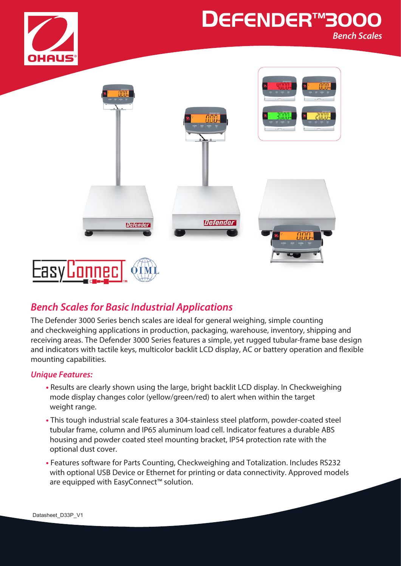

## **DEFENDER™300** *Bench Scales*



## *Bench Scales for Basic Industrial Applications*

The Defender 3000 Series bench scales are ideal for general weighing, simple counting and checkweighing applications in production, packaging, warehouse, inventory, shipping and receiving areas. The Defender 3000 Series features a simple, yet rugged tubular-frame base design and indicators with tactile keys, multicolor backlit LCD display, AC or battery operation and flexible mounting capabilities.

#### *Unique Features:*

- **•** Results are clearly shown using the large, bright backlit LCD display. In Checkweighing mode display changes color (yellow/green/red) to alert when within the target weight range.
- **•** This tough industrial scale features a 304-stainless steel platform, powder-coated steel tubular frame, column and IP65 aluminum load cell. Indicator features a durable ABS housing and powder coated steel mounting bracket, IP54 protection rate with the optional dust cover.
- **•** Features software for Parts Counting, Checkweighing and Totalization. Includes RS232 with optional USB Device or Ethernet for printing or data connectivity. Approved models are equipped with EasyConnect™ solution.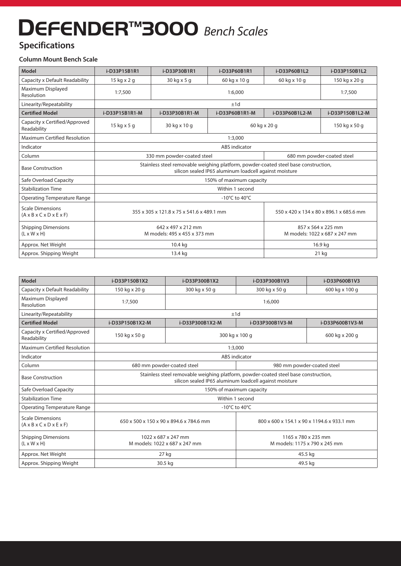# **DEFENDER™3000** *Bench Scales*

## **Specifications**

#### **Column Mount Bench Scale**

| Model                                                                         | i-D33P15B1R1                                                                                                                                  | i-D33P30B1R1                                       | i-D33P60B1R1                                        | i-D33P60B1L2                            | i-D33P150B1L2 |
|-------------------------------------------------------------------------------|-----------------------------------------------------------------------------------------------------------------------------------------------|----------------------------------------------------|-----------------------------------------------------|-----------------------------------------|---------------|
| Capacity x Default Readability                                                | $15$ kg x 2 g                                                                                                                                 | 60 kg x 10 g<br>30 kg x 5 g                        |                                                     | 60 kg x 10 g                            | 150 kg x 20 g |
| Maximum Displayed<br>Resolution                                               | 1:7,500                                                                                                                                       | 1:6,000                                            |                                                     |                                         | 1:7,500       |
| Linearity/Repeatability                                                       | ±1d                                                                                                                                           |                                                    |                                                     |                                         |               |
| <b>Certified Model</b>                                                        | i-D33P15B1R1-M                                                                                                                                | i-D33P60B1R1-M<br>i-D33P30B1R1-M<br>i-D33P60B1L2-M |                                                     | i-D33P150B1L2-M                         |               |
| Capacity x Certified/Approved<br>Readability                                  | 15 kg x 5 g                                                                                                                                   | 30 kg x 10 g                                       | 60 kg x 20 g                                        |                                         | 150 kg x 50 g |
| Maximum Certified Resolution                                                  | 1:3,000                                                                                                                                       |                                                    |                                                     |                                         |               |
| Indicator                                                                     | <b>ABS</b> indicator                                                                                                                          |                                                    |                                                     |                                         |               |
| Column                                                                        | 680 mm powder-coated steel<br>330 mm powder-coated steel                                                                                      |                                                    |                                                     |                                         |               |
| <b>Base Construction</b>                                                      | Stainless steel removable weighing platform, powder-coated steel base construction,<br>silicon sealed IP65 aluminum loadcell against moisture |                                                    |                                                     |                                         |               |
| Safe Overload Capacity                                                        | 150% of maximum capacity                                                                                                                      |                                                    |                                                     |                                         |               |
| <b>Stabilization Time</b>                                                     | Within 1 second                                                                                                                               |                                                    |                                                     |                                         |               |
| <b>Operating Temperature Range</b>                                            | -10°C to 40°C                                                                                                                                 |                                                    |                                                     |                                         |               |
| <b>Scale Dimensions</b><br>$(A \times B \times C \times D \times E \times F)$ | 355 x 305 x 121.8 x 75 x 541.6 x 489.1 mm                                                                                                     |                                                    |                                                     | 550 x 420 x 134 x 80 x 896.1 x 685.6 mm |               |
| <b>Shipping Dimensions</b><br>$(L \times W \times H)$                         | 642 x 497 x 212 mm<br>M models: 495 x 455 x 373 mm                                                                                            |                                                    | 857 x 564 x 225 mm<br>M models: 1022 x 687 x 247 mm |                                         |               |
| Approx. Net Weight                                                            | 10.4 kg<br>16.9 kg                                                                                                                            |                                                    |                                                     |                                         |               |
| Approx. Shipping Weight                                                       | 13.4 kg<br>$21$ kg                                                                                                                            |                                                    |                                                     |                                         |               |

| <b>Model</b>                                                                  | i-D33P150B1X2                                                                                                                                 | i-D33P300B1X2                      | i-D33P300B1V3                                        | i-D33P600B1V3   |  |
|-------------------------------------------------------------------------------|-----------------------------------------------------------------------------------------------------------------------------------------------|------------------------------------|------------------------------------------------------|-----------------|--|
| Capacity x Default Readability                                                | 150 kg x 20 g                                                                                                                                 | 300 kg x 50 g<br>300 kg x 50 g     |                                                      | 600 kg x 100 g  |  |
| Maximum Displayed<br>Resolution                                               | 1:7,500                                                                                                                                       | 1:6,000                            |                                                      |                 |  |
| Linearity/Repeatability                                                       | ±1d                                                                                                                                           |                                    |                                                      |                 |  |
| <b>Certified Model</b>                                                        | i-D33P150B1X2-M                                                                                                                               | i-D33P300B1X2-M<br>i-D33P300B1V3-M |                                                      | i-D33P600B1V3-M |  |
| Capacity x Certified/Approved<br>Readability                                  | 150 kg x 50 g                                                                                                                                 | 300 kg x 100 g                     |                                                      | 600 kg x 200 g  |  |
| Maximum Certified Resolution                                                  | 1:3,000                                                                                                                                       |                                    |                                                      |                 |  |
| Indicator                                                                     | ABS indicator                                                                                                                                 |                                    |                                                      |                 |  |
| Column                                                                        |                                                                                                                                               | 680 mm powder-coated steel         | 980 mm powder-coated steel                           |                 |  |
| <b>Base Construction</b>                                                      | Stainless steel removable weighing platform, powder-coated steel base construction,<br>silicon sealed IP65 aluminum loadcell against moisture |                                    |                                                      |                 |  |
| Safe Overload Capacity                                                        | 150% of maximum capacity                                                                                                                      |                                    |                                                      |                 |  |
| <b>Stabilization Time</b>                                                     | Within 1 second                                                                                                                               |                                    |                                                      |                 |  |
| <b>Operating Temperature Range</b>                                            | -10 $^{\circ}$ C to 40 $^{\circ}$ C                                                                                                           |                                    |                                                      |                 |  |
| <b>Scale Dimensions</b><br>$(A \times B \times C \times D \times E \times F)$ | 650 x 500 x 150 x 90 x 894.6 x 784.6 mm                                                                                                       |                                    | 800 x 600 x 154.1 x 90 x 1194.6 x 933.1 mm           |                 |  |
| <b>Shipping Dimensions</b><br>$(L \times W \times H)$                         | 1022 x 687 x 247 mm<br>M models: 1022 x 687 x 247 mm                                                                                          |                                    | 1165 x 780 x 235 mm<br>M models: 1175 x 790 x 245 mm |                 |  |
| Approx. Net Weight                                                            | 27 kg                                                                                                                                         |                                    | 45.5 kg                                              |                 |  |
| Approx. Shipping Weight                                                       |                                                                                                                                               | 30.5 kg                            | 49.5 kg                                              |                 |  |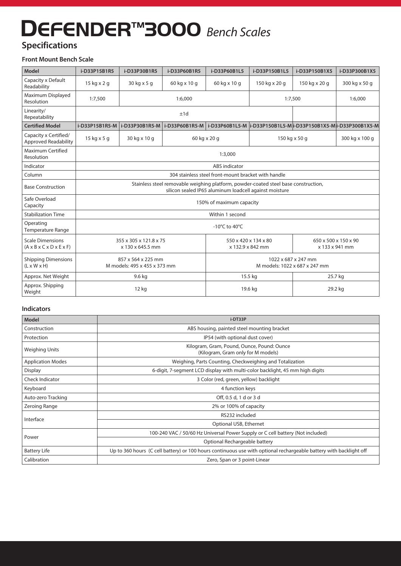## **DEFENDER™3000** *Bench Scales*

## **Specifications**

#### **Front Mount Bench Scale**

| Model                                                                         | i-D33P15B1R5                                                                                                                                  | i-D33P30B1R5   | i-D33P60B1R5                                         | i-D33P60B1L5 | i-D33P150B1L5                          | i-D33P150B1X5                                                                      | i-D33P300B1X5  |
|-------------------------------------------------------------------------------|-----------------------------------------------------------------------------------------------------------------------------------------------|----------------|------------------------------------------------------|--------------|----------------------------------------|------------------------------------------------------------------------------------|----------------|
| Capacity x Default<br>Readability                                             | 15 kg x 2 g                                                                                                                                   | 30 kg x 5 g    | 60 kg x 10 g                                         | 60 kg x 10 g | 150 kg x 20 g                          | 150 kg x 20 g                                                                      | 300 kg x 50 g  |
| Maximum Displayed<br>Resolution                                               | 1:7,500<br>1:6,000                                                                                                                            |                |                                                      |              | 1:7,500                                | 1:6,000                                                                            |                |
| Linearity/<br>Repeatability                                                   | ±1d                                                                                                                                           |                |                                                      |              |                                        |                                                                                    |                |
| <b>Certified Model</b>                                                        | i-D33P15B1R5-M                                                                                                                                | i-D33P30B1R5-M |                                                      |              |                                        | i-D33P60B1R5-M   i-D33P60B1L5-M  i-D33P150B1L5-M  i-D33P150B1X5-M  i-D33P300B1X5-M |                |
| Capacity x Certified/<br><b>Approved Readability</b>                          | 15 kg x 5 g                                                                                                                                   | 30 kg x 10 g   | 60 kg x 20 g                                         |              | 150 kg x 50 g                          |                                                                                    | 300 kg x 100 g |
| Maximum Certified<br>Resolution                                               | 1:3,000                                                                                                                                       |                |                                                      |              |                                        |                                                                                    |                |
| Indicator                                                                     | <b>ABS</b> indicator                                                                                                                          |                |                                                      |              |                                        |                                                                                    |                |
| Column                                                                        | 304 stainless steel front-mount bracket with handle                                                                                           |                |                                                      |              |                                        |                                                                                    |                |
| <b>Base Construction</b>                                                      | Stainless steel removable weighing platform, powder-coated steel base construction,<br>silicon sealed IP65 aluminum loadcell against moisture |                |                                                      |              |                                        |                                                                                    |                |
| Safe Overload<br>Capacity                                                     | 150% of maximum capacity                                                                                                                      |                |                                                      |              |                                        |                                                                                    |                |
| <b>Stabilization Time</b>                                                     | Within 1 second                                                                                                                               |                |                                                      |              |                                        |                                                                                    |                |
| Operating<br><b>Temperature Range</b>                                         | -10 $^{\circ}$ C to 40 $^{\circ}$ C                                                                                                           |                |                                                      |              |                                        |                                                                                    |                |
| <b>Scale Dimensions</b><br>$(A \times B \times C \times D \times E \times F)$ | 355 x 305 x 121.8 x 75<br>x 130 x 645.5 mm                                                                                                    |                | 550 x 420 x 134 x 80<br>x 132.9 x 842 mm             |              | 650 x 500 x 150 x 90<br>x 133 x 941 mm |                                                                                    |                |
| <b>Shipping Dimensions</b><br>$(L \times W \times H)$                         | 857 x 564 x 225 mm<br>M models: 495 x 455 x 373 mm                                                                                            |                | 1022 x 687 x 247 mm<br>M models: 1022 x 687 x 247 mm |              |                                        |                                                                                    |                |
| Approx. Net Weight                                                            | 9.6 kg                                                                                                                                        |                | 15.5 kg                                              |              | 25.7 kg                                |                                                                                    |                |
| Approx. Shipping<br>Weight                                                    | 12 kg                                                                                                                                         |                |                                                      | 19.6 kg      | 29.2 kg                                |                                                                                    |                |

#### **Indicators**

| <b>Model</b>             | i-DT33P                                                                                                            |  |  |  |
|--------------------------|--------------------------------------------------------------------------------------------------------------------|--|--|--|
| Construction             | ABS housing, painted steel mounting bracket                                                                        |  |  |  |
| Protection               | IP54 (with optional dust cover)                                                                                    |  |  |  |
| <b>Weighing Units</b>    | Kilogram, Gram, Pound, Ounce, Pound: Ounce<br>(Kilogram, Gram only for M models)                                   |  |  |  |
| <b>Application Modes</b> | Weighing, Parts Counting, Checkweighing and Totalization                                                           |  |  |  |
| Display                  | 6-digit, 7-segment LCD display with multi-color backlight, 45 mm high digits                                       |  |  |  |
| <b>Check Indicator</b>   | 3 Color (red, green, yellow) backlight                                                                             |  |  |  |
| Keyboard                 | 4 function keys                                                                                                    |  |  |  |
| Auto-zero Tracking       | Off, 0.5 d, 1 d or 3 d                                                                                             |  |  |  |
| Zeroing Range            | 2% or 100% of capacity                                                                                             |  |  |  |
| Interface                | RS232 included                                                                                                     |  |  |  |
|                          | Optional USB, Ethernet                                                                                             |  |  |  |
| Power                    | 100-240 VAC / 50/60 Hz Universal Power Supply or C cell battery (Not included)                                     |  |  |  |
|                          | Optional Rechargeable battery                                                                                      |  |  |  |
| <b>Battery Life</b>      | Up to 360 hours (C cell battery) or 100 hours continuous use with optional rechargeable battery with backlight off |  |  |  |
| Calibration              | Zero, Span or 3 point-Linear                                                                                       |  |  |  |